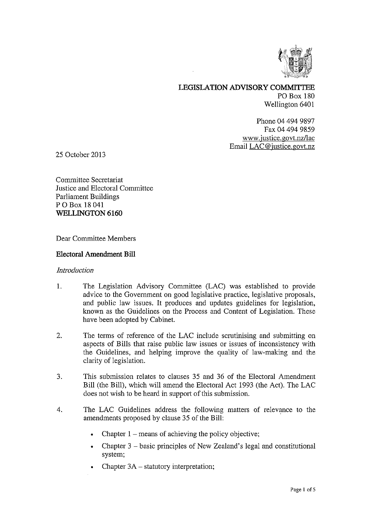

# LEGISLATION ADVISORY COMMITTEE PO Box 180 Wellington 6401

Phone 04 494 9897 Fax 04 494 9859 www.justice.govt.nz/lac Email LAC @justice.govt.nz

25 October 2013

Committee Secretariat Justice and Electoral Committee Parliament Buildings P 0 Box 18 041 WELLINGTON 6160

Dear Committee Members

### Electoral Amendment Bill

#### **Introduction**

- 1. The Legislation Advisory Committee (LAC) was established to provide advice to the Government on good legislative practice, legislative proposals, and public law issues. It produces and updates guidelines for legislation, known as the Guidelines on the Process and Content of Legislation. These have been adopted by Cabinet.
- $\overline{2}$ . The terms of reference of the LAC include scrutinising and submitting on aspects of Bills that raise public law issues or issues of inconsistency with the Guidelines, and helping improve the quality of law-making and the clarity of legislation.
- 3. This submission relates to clauses 35 and 36 of the Electoral Amendment Bill (the Bill), which will amend the Electoral Act 1993 (the Act). The LAC does not wish to be heard in support of this submission.
- 4. The LAC Guidelines address the following matters of relevance to the amendments proposed by clause 35 of the Bill:
	- Chapter  $1$  means of achieving the policy objective;
	- Chapter 3 basic principles of New Zealand's legal and constitutional system;
	- Chapter 3A statutory interpretation;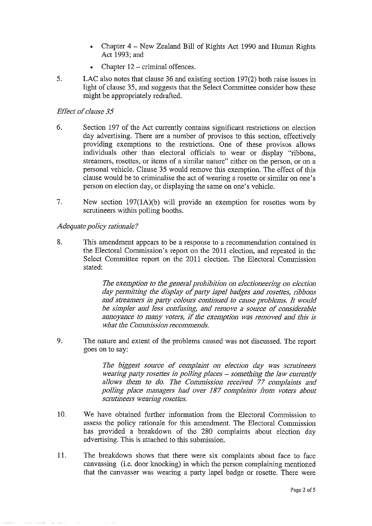- Chapter 4 New Zealand Bill of Rights Act 1990 and Human Rights Act 1993; and
- Chapter 12 criminal offences.
- 5. LAC also notes that clause 36 and existing section 197(2) both raise issues in light of clause 35, and suggests that the Select Committee consider how these might be appropriately redrafted.

### Effect of clause 35

- 6. Section 197 of the Act currently contains significant restrictions on election day advertising. There are a number of provisos to this section, effectively providing exemptions to the restrictions. One of these provisos allows individuals other than electoral officials to wear or display "ribbons, streamers, rosettes, or items of a similar nature" either on the person, or on a personal vehicle. Clause 35 would remove this exemption. The effect of this clause would be to criminalise the act of wearing a rosette or similar on one's person on election day, or displaying the same on one's vehicle.
- 7. New section 197(1A)(b) will provide an exemption for rosettes worn by scrutineers within polling booths.

### Adequate policy rationale?

8. This amendment appears to be a response to a recommendation contained in the Electoral Commission's report on the 2011 election, and repeated in the Select Committee report on the 2011 election. The Electoral Commission stated:

> The exemption to the general prohibition on electioneering on election day permitting the display of party lapel badges and rosettes, ribbons and streamers in party colours continued to cause problems. It would be simpler and less confusing, and remove a source of considerable annoyance to many voters, if the exemption was removed and this is what the Commission recommends.

9. The nature and extent of the problems caused was not discussed. The report goes on to say:

> The biggest source of complaint on election day was scrutineers wearing party rosettes in polling places – something the law currently allows them to do. The Commission received 77 complaints and polling place managers had over 187 complaints from voters about scrutineers wearing rosettes.

- 10. We have obtained further information from the Electoral Commission to assess the policy rationale for this amendment. The Electoral Commission has provided a breakdown of the 280 complaints about election day advertising. This is attached to this submission.
- 11. The breakdown shows that there were six complaints about face to face canvassing (i.e. door knocking) in which the person complaining mentioned that the canvasser was wearing a party lapel badge or rosette. There were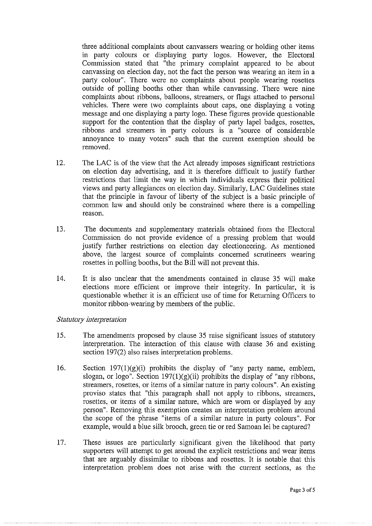three additional complaints about canvassers wearing or holding other items in party colours or displaying party logos. However, the Electoral Commission stated that "the primary complaint appeared to be about canvassing on election day, not the fact the person was wearing an item in a party colour". There were no complaints about people wearing rosettes outside of polling booths other than while canvassing. There were nine complaints about ribbons, balloons, streamers, or flags attached to personal vehicles. There were two complaints about caps, one displaying a voting message and one displaying a party logo. These figures provide questionable support for the contention that the display of party lapel badges, rosettes, ribbons and streamers in party colours is a "source of considerable annoyance to many voters" such that the current exemption should be removed.

- 12. The LAC is of the view that the Act already imposes significant restrictions on election day advertising, and it is therefore difficult to justify further restrictions that limit the way in which individuals express their political views and party allegiances on election day. Similarly, LAC Guidelines state that the principle in favour of liberty of the subject is a basic principle of common law and should only be constrained where there is a compelling reason.
- 13. The documents and supplementary materials obtained from the Electoral Commission do not provide evidence of a pressing problem that would justify further restrictions on election day electioneering. As mentioned above, the largest source of complaints concerned scrutineers wearing rosettes in polling booths, but the Bill will not prevent this.
- 14. It is also unclear that the amendments contained in clause 35 will make elections more efficient or improve their integrity. In particular, it is questionable whether it is an efficient use of time for Returning Officers to monitor ribbon-wearing by members of the public.

#### Statutory interpretation

- 15. The amendments proposed by clause 35 raise significant issues of statutory interpretation. The interaction of this clause with clause 36 and existing section 197(2) also raises interpretation problems.
- 16. Section 197(1)(g)(1) prohibits the display of "any party name, emblem, slogan, or logo". Section  $197(1)(g)(ii)$  prohibits the display of "any ribbons, streamers, rosettes, or items of a similar nature in party colours". An existing proviso states that "this paragraph shall not apply to ribbons, streamers, rosettes, or items of a similar nature, which are worn or displayed by any person". Removing this exemption creates an interpretation problem around the scope of the phrase "items of a similar nature in party colours". For example, would a blue silk brooch, green tie or red Samoan lei be captured?
- 17. These issues are particularly significant given the likelihood that party supporters will attempt to get around the explicit restrictions and wear items that are arguably dissimilar to ribbons and rosettes. It is notable that this interpretation problem does not arise with the current sections, as the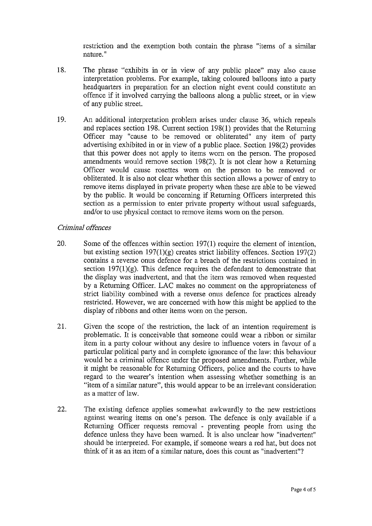restriction and the exemption both contain the phrase "items of a similar nature."

- 18. The phrase "exhibits in or in view of any public place" may also cause interpretation problems. For example, taking coloured balloons into a party headquarters in preparation for an election night event could constitute an offence if it involved carrying the balloons along a public street, or in view of any public street.
- 19. An additional interpretation problem arises under clause 36, which repeals and replaces section 198. Current section 198(1) provides that the Returning Officer may "cause to be removed or obliterated" any item of party advertising exhibited in or in view of a public place. Section 198(2) provides that this power does not apply to items worn on the person. The proposed amendments would remove section 198(2). It is not clear how a Returning Officer would cause rosettes worn on the person to be removed or obliterated. It is also not clear whether this section allows a power of entry to remove items displayed in private property when these are able to be viewed by the public. It would be concerning if Returning Officers interpreted this section as a permission to enter private property without usual safeguards, and/or to use physical contact to remove items worn on the person.

### Criminal offences

- 20. Some of the offences within section 197(1) require the element of intention, but existing section 197(1)(g) creates strict liability offences. Section 197(2) contains a reverse onus defence for a breach of the restrictions contained in section  $197(1)(g)$ . This defence requires the defendant to demonstrate that the display was inadvertent, and that the item was removed when requested by a Returning Officer. LAC makes no comment on the appropriateness of strict liability combined with a reverse onus defence for practices already restricted. However, we are concerned with how this might be applied to the display of ribbons and other items worn on the person.
- 21. Given the scope of the restriction, the lack of an intention requirement is problematic. It is conceivable that someone could wear a ribbon or similar item in a party colour without any desire to influence voters in favour of a particular political party and in complete ignorance of the law: this behaviour would be a criminal offence under the proposed amendments. Further, while it might be reasonable for Returning Officers, police and the courts to have regard to the wearer's intention when assessing whether something is an "item of a similar nature", this would appear to be an irrelevant consideration as a matter of law.
- 22. The existing defence applies somewhat awkwardly to the new restrictions against wearing items on one's person. The defence is only available if a Returning Officer requests removal - preventing people from using the defence unless they have been warned. It is also unclear how "inadvertent" should be interpreted. For example, if someone wears a red hat, but does not think of it as an item of a similar nature, does this count as "inadvertent"?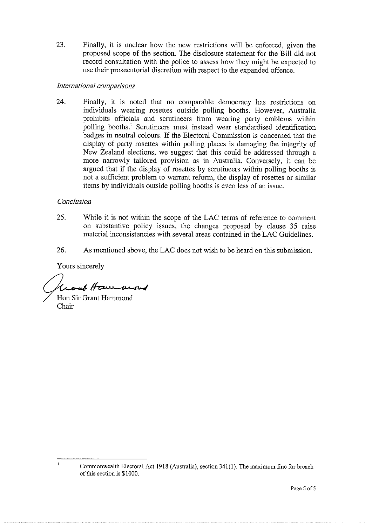23. Finally, it is unclear how the new restrictions will be enforced, given the proposed scope of the section. The disclosure statement for the Bill did not record consultation with the police to assess how they might be expected to use their prosecutorial discretion with respect to the expanded offence.

# International comparisons

24. Finally, it is noted that no comparable democracy has restrictions on individuals wearing rosettes outside polling booths. However, Australia prohibits officials and scrutineers from wearing party emblems within polling booths.' Scrutineers must instead wear standardised identification badges in neutral colours. If the Electoral Commission is concerned that the display of party rosettes within polling places is damaging the integrity of New Zealand elections, we suggest that this could be addressed through a more narrowly tailored provision as in Australia. Conversely, it can be argued that if the display of rosettes by scrutineers within polling booths is not a sufficient problem to warrant reform, the display of rosettes or similar items by individuals outside polling booths is even less of an issue.

### Conclusion

- 25. While it is not within the scope of the LAC terms of reference to comment on substantive policy issues, the changes proposed by clause 35 raise material inconsistencies with several areas contained in the LAC Guidelines.
- 26. As mentioned above, the LAC does not wish to be heard on this submission.

Yours sincerely

 $\mathbf{I}$ 

Group Haw word

Hon Sir Grant Hammond Chair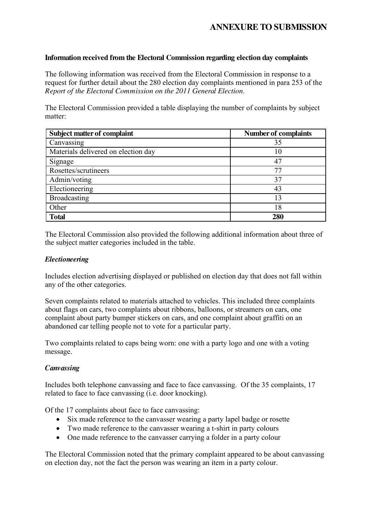# **ANNEXURE TO SUBMISSION**

# **Information received from the Electoral Commission regarding election day complaints**

The following information was received from the Electoral Commission in response to a request for further detail about the 280 election day complaints mentioned in para 253 of the *Report of the Electoral Commission on the 2011 General Election*.

The Electoral Commission provided a table displaying the number of complaints by subject matter:

| <b>Subject matter of complaint</b>  | <b>Number of complaints</b> |
|-------------------------------------|-----------------------------|
| Canvassing                          | 35                          |
| Materials delivered on election day | 10                          |
| Signage                             | 47                          |
| Rosettes/scrutineers                | 77                          |
| Admin/voting                        | 37                          |
| Electioneering                      | 43                          |
| <b>Broadcasting</b>                 | 13                          |
| Other                               | 18                          |
| <b>Total</b>                        | 280                         |

The Electoral Commission also provided the following additional information about three of the subject matter categories included in the table.

### *Electioneering*

Includes election advertising displayed or published on election day that does not fall within any of the other categories.

Seven complaints related to materials attached to vehicles. This included three complaints about flags on cars, two complaints about ribbons, balloons, or streamers on cars, one complaint about party bumper stickers on cars, and one complaint about graffiti on an abandoned car telling people not to vote for a particular party.

Two complaints related to caps being worn: one with a party logo and one with a voting message.

### *Canvassing*

Includes both telephone canvassing and face to face canvassing. Of the 35 complaints, 17 related to face to face canvassing (i.e. door knocking).

Of the 17 complaints about face to face canvassing:

- Six made reference to the canvasser wearing a party lapel badge or rosette
- Two made reference to the canvasser wearing a t-shirt in party colours
- One made reference to the canvasser carrying a folder in a party colour

The Electoral Commission noted that the primary complaint appeared to be about canvassing on election day, not the fact the person was wearing an item in a party colour.